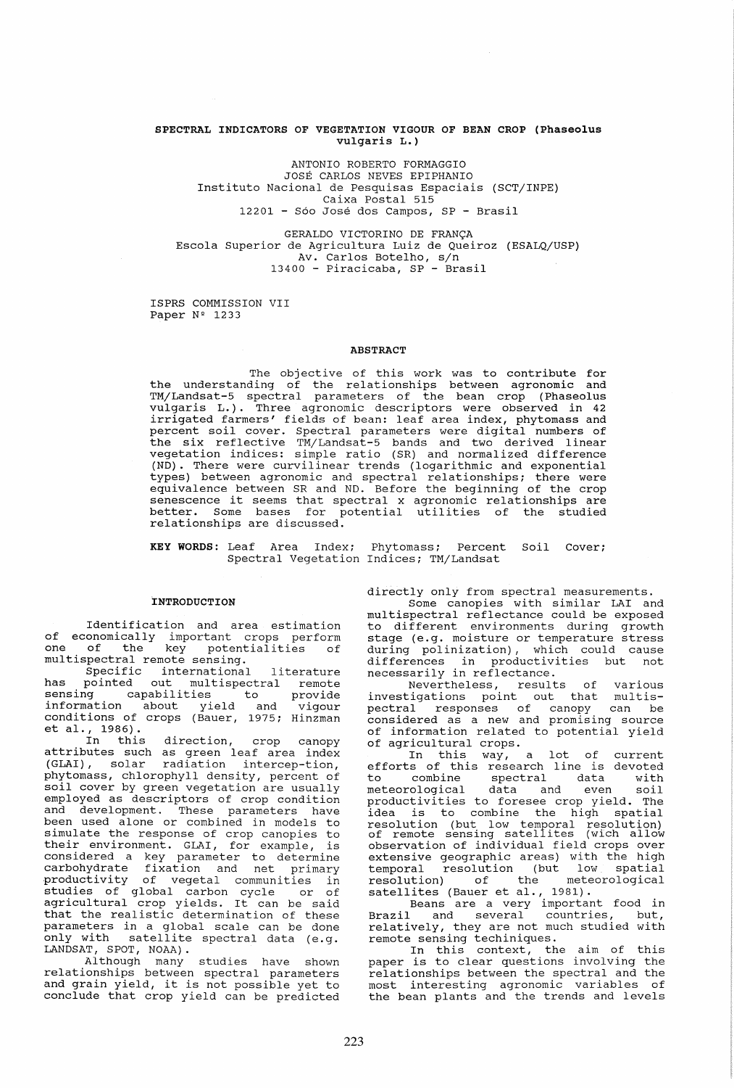## SPECTRAL INDICATORS OF VEGETATION VIGOUR OF BEAN CROP (Phaseolus vulgaris L.)

ANTONIO ROBERTO FORMAGGIO JOSE CARLOS NEVES EPIPHANIO Instituto Nacional de Pesquisas Espaciais *(SCT/INPE)*  Caixa Postal 515 12201 - S60 Jose dos Campos, SP - Brasil

GERALDO VICTORINO DE FRANyA Escola superior de Agricultura Luiz de Queiroz (ESALQ/USP) Av. Carlos Botelho, s/n 13400 - Piracicaba, SP - Brasil

ISPRS COMMISSION VII Paper  $N^{\circ}$  1233

#### ABSTRACT

The objective of this work was to contribute for the understanding of the relationships between agronomic and TM/Landsat-5 spectral parameters of the bean crop (Phaseolus vulgaris L.). Three agronomic descriptors were observed in 42 irrigated farmers' fields of bean: leaf area index, phytomass and percent soil cover. Spectral parameters were digital numbers of the six reflective TM/Landsat-5 bands and two derived linear vegetation indices: simple ratio (SR) and normalized difference (ND). There were curvilinear trends (logarithmic and exponential types) between agronomic and spectral relationships; there were<br>equivalence between SR and ND. Before the beginning of the crop<br>senescence it seems that spectral x agronomic relationships are<br>better. Some bases for potenti senescence it seems that spectral x agronomic relationships are better. Some bases for potential utilities of the studied relationships are discussed.

KEY WORDS: Leaf Area Index; Phytomass; Percent Soil Cover; Spectral Vegetation Indices; TM/Landsat

#### INTRODUCTION

Identification and area estimation of economically important crops perform one of the key potentialities of multispectral remote sensing.

Specific international literature has pointed out multispectral remote sensing capabilities to provide information about yield and vigour conditions of crops (Bauer, 1975; Hinzman et al., 1986).

In this direction, crop canopy attributes such as green leaf area index (GLAI) , solar radiation intercep-tion, phytomass, chlorophyll density, percent of soil cover by green vegetation are usually employed as descriptors of crop condition and development. These parameters have been used alone or combined in models to simulate the response of crop canopies to their environment. GLAI, for example, is considered a key parameter to determine carbohydrate fixation and net primary productivity of vegetal communities in studies of global carbon cycle or of<br>agricultural crop yields. It can be said agriculature of prefasional can be said<br>that the realistic determination of these parameters in a global scale can be done only with satellite spectral data (e.g. only with satellite spectral data (e.g.<br>LANDSAT, SPOT, NOAA).

Although many studies have shown relationships between spectral parameters and grain yield, it is not possible yet to conclude that crop yield can be predicted directly only from spectral measurements.

Some canopies with similar LAI and multispectral reflectance could be exposed to different environments during growth stage (e.g. moisture or temperature stress<br>during polinization), which could cause during polinization), which could cause differences in productivities but not necessarily in reflectance.

Nevertheless, results of various investigations point out that multispectral responses of canopy can be .<br>considered as a new and promising source<br>of information related to potential yield of information related to potential yield<br>of agricultural crops.

In this way, a lot of current efforts of this way, a fee of carlene to combine spectral data with meteorological data and even soil to combine spectral data with<br>meteorological data and even soil<br>productivities to foresee crop yield. The idea is to combine the high spatial resolution (but low temporal resolution)<br>of remote sensing satellites (wich allow<br>observation of individual field crops over observation of individual field crops over extensive geographic areas) with the high temporal resolution (but low spatial resolution) of the meteorological satellites (Bauer et al., 1981).

Beans are a very important food in Brazil and several countries, but, relatively, they are not much studied with remote sensing techiniques. In this context, the aim of this

paper is to clear questions involving the relationships between the spectral and the most interesting agronomic variables of the bean plants and the trends and levels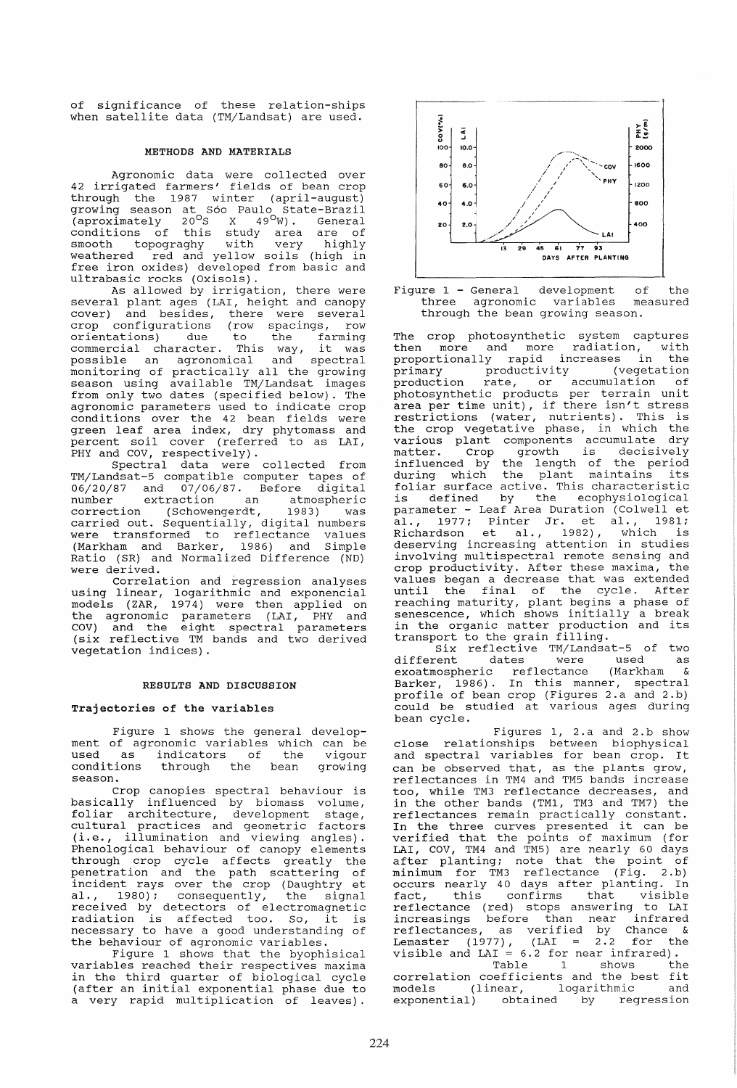of significance of these relation-ships when satellite data (TM/Landsat) are used.

# METHODS AND MATERIALS

Agronomic data were collected over 42 irrigated farmers' fields of bean crop through the 1987 winter (april-august) growing season at Soo Paulo state-Brazil (aproximately 20<sup>0</sup>S X 49<sup>0</sup>W). General<br>conditions of this study area are of smooth topograghy with very highly smooth topograghy with very highly<br>weathered red and yellow soils (high in free iron oxides) developed from basic and ultrabasic rocks (Oxisols).

As allowed by irrigation, there were several plant ages (LAI, height and canopy cover) and besides, there were several crop configurations (row spacings, row orientations) due to the farming commercial character. This way, it was possible an agronomical and spectral possibile an agronomical and spectral season using available TM/Landsat images from only two dates (specified below). The agronomic parameters used to indicate crop conditions over the 42 bean fields were green leaf area index, dry phytomass and percent soil cover (referred to as LAI, .<br>PHY and COV, respectively).

Spectral data were collected from TM/Landsat-5 compatible computer tapes of 06/20/87 and 07/06/87. Before digital<br>number extraction an atmospheric number extraction an atmospheric correction (Schowengerdt, 1983) was carried out. Sequentially, digital numbers were transformed to reflectance values (Markham and Barker, 1986) and Simple Ratio (SR) and Normalized Difference (ND) were derived.

Correlation and regression analyses using linear, logarithmic and exponencial models (ZAR, 1974) were then applied on the agronomic parameters (LAI, PHY and COV) and the eight spectral parameters (six reflective TM bands and two derived vegetation indices).

## RESULTS AND DISCUSSION

# Trajectories of the variables

Figure 1 shows the general development of agronomic variables which can be<br>used as indicators of the vigour used as indicators of the<br>conditions through the bean through the bean growing season.

Crop canopies spectral behaviour is basically influenced by biomass volume, editionally infractional by biomass vorume,<br>foliar architecture, development stage, cultural practices and geometric factors (i. e., illumination and viewing angles). Phenological behaviour of canopy elements through crop cycle affects greatly the penetration and the path scattering of incident rays over the crop (Daughtry et al., 1980); consequently, the signal received by detectors of electromagnetic radiation is affected too. So, it is necessary to have a good understanding of the behaviour of agronomic variables.

Figure 1 shows that the byophisical variables reached their respectives maxima in the third quarter of biological cycle (after an initial exponential phase due to a very rapid multiplication of leaves).



Figure 1 - General development of the<br>three agronomic variables measured three agronomic variables through the bean growing season.

The crop photosynthetic system captures then more and more radiation, with proportionally rapid increases in the primary productivity (vegetation<br>production rate, or accumulation of rate, or accumulation of photosynthetic products per terrain unit area per time unit), if there isn't stress restrictions (water, nutrients). This is the crop vegetative phase, in which the various plant components accumulate dry various pranc componence accumative are<br>matter. Crop growth is decisively influenced by the length of the period during which the plant maintains its during which the prane marnearne iss is defined by the ecophysiological parameter - Leaf Area Duration (Colwell et parameter – hear Area Baracron (corwert et<br>al., 1977; Pinter Jr. et al., 1981; al., 1977, Tincer 91: et al., 1991,<br>Richardson et al., 1982), which is deserving increasing attention in studies involving multispectral remote sensing and crop productivity. After these maxima, the values began a decrease that was extended until the final of the cycle. After reaching maturity, plant begins a phase of senescence, which shows initially a break senescence, which shows initiarly a break In the organic matter product.

six reflective TM/Landsat-5 of two different dates were used as different dates were used as<br>exoatmospheric reflectance (Markham & Barker, 1986). In this manner, spectral profile of bean crop (Figures 2.a and 2.b) could be studied at various ages during bean cycle.

Figures 1, 2.a and 2.b show close relationships between biophysical and spectral variables for bean crop. It can be observed that, as the plants grow, reflectances in TM4 and TM5 bands increase too, while TM3 reflectance decreases, and in the other bands (TMl, TM3 and TM7) the reflectances remain practically constant. In the three curves presented it can be verified that the points of maximum (for LAI, COV, TM4 and TM5) are nearly 60 days after planting; note that the point of minimum for TM3 reflectance (Fig. 2.b) occurs nearly 40 days after planting. In fact, this confirms that visible reflectance (red) stops answering to LAI increasings before than near infrared reflectances, as verified by Chance & Lemaster  $(1977)$ ,  $(LAI = 2.2$  for the  $v$ isible and  $LAI = 6.2$  for near infrared). Table 1 shows the correlation coefficients and the best fit models (linear, logarithmic and models (linear, logarithmic and<br>exponential) obtained by regression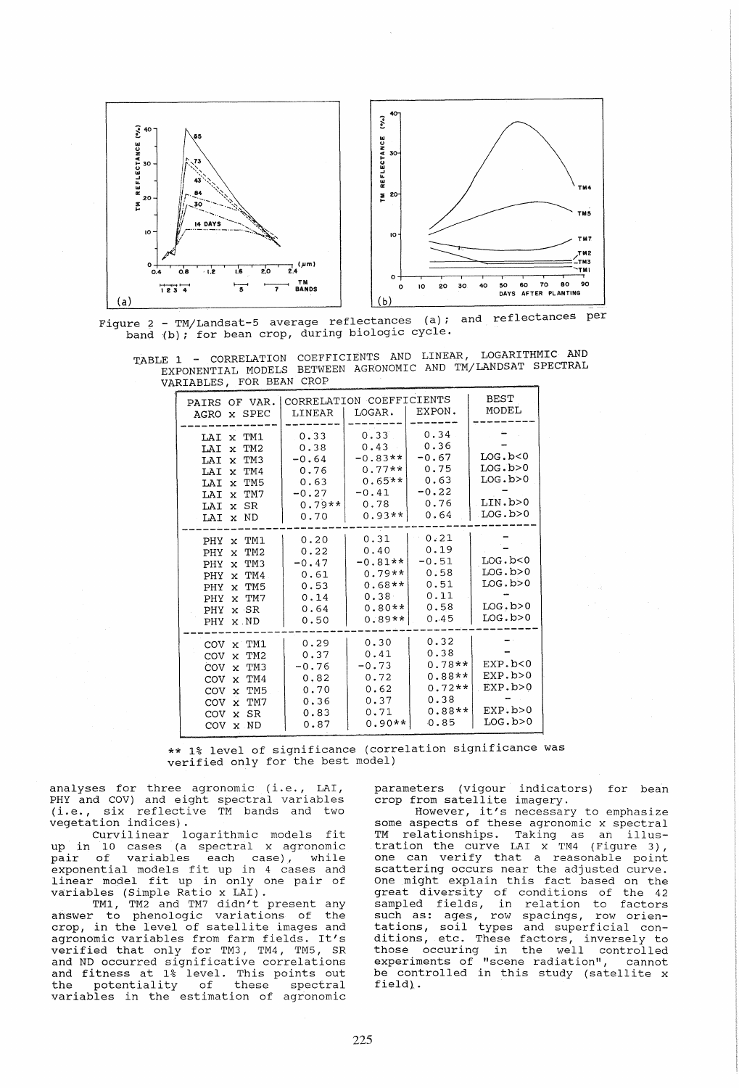

and reflectances per Figure 2 - TM/Landsat-5 average reflectances (a); band (b); for bean crop, during biologic cycle.

|  |  |  |                          |  |  | TABLE 1 - CORRELATION COEFFICIENTS AND LINEAR, LOGARITHMIC ANL                                                                                                                                                                 |  |
|--|--|--|--------------------------|--|--|--------------------------------------------------------------------------------------------------------------------------------------------------------------------------------------------------------------------------------|--|
|  |  |  |                          |  |  | EXPONENTIAL MODELS BETWEEN AGRONOMIC AND TM/LANDSAT SPECTRAL                                                                                                                                                                   |  |
|  |  |  |                          |  |  |                                                                                                                                                                                                                                |  |
|  |  |  | VARIABLES, FOR BEAN CROP |  |  | The contract of the contract of the contract of the contract of the contract of the contract of the contract of the contract of the contract of the contract of the contract of the contract of the contract of the contract o |  |

| PAIRS OF VAR.                           | CORRELATION COEFFICIENTS |           | BEST     |            |
|-----------------------------------------|--------------------------|-----------|----------|------------|
| x SPEC<br>AGRO                          | LINEAR                   | LOGAR.    | EXPON.   | MODEL      |
|                                         |                          |           |          |            |
| LAI x TM1                               | 0.33                     | 0.33      | 0.34     |            |
|                                         | 0.38                     | 0.43      | 0.36     |            |
| TM <sub>2</sub><br>LAI<br>$\mathbf{x}$  |                          | $-0.83**$ | $-0.67$  | LOG.b < 0  |
| TM3<br>LAI<br>x                         | $-0.64$                  |           | 0.75     | LOG.b>0    |
| TM4<br>LAI<br>$\mathbf{x}$              | 0.76                     | $0.77**$  |          | LOG.b>0    |
| TM5<br>LAI<br>X.                        | 0.63                     | $0.65**$  | 0.63     |            |
| TM7<br>LAI<br>$\mathbf{x}$              | $-0.27$                  | $-0.41$   | $-0.22$  |            |
| x SR<br>LAI                             | $0.79**$                 | 0.78      | 0.76     | LIN.b>0    |
| x ND<br>LAI                             | 0.70                     | $0.93**$  | 0.64     | LOG.b>0    |
|                                         |                          |           |          |            |
| x TM1<br>PHY                            | 0.20                     | 0.31      | 0.21     |            |
| TM <sub>2</sub><br>PHY<br>x             | 0.22                     | 0.40      | 0.19     |            |
| TM3<br>PHY<br>x                         | $-0.47$                  | $-0.81**$ | $-0.51$  | LOG.b < 0  |
|                                         | 0.61                     | $0.79**$  | 0.58     | LOG.b>0    |
| TM4<br>PHY<br>$\mathbf{x}$              |                          | $0.68**$  | 0.51     | LOG.b>0    |
| TM5<br>PHY<br>$\mathbf{x}$              | 0.53                     |           | 0.11     |            |
| x TM7<br><b>PHY</b>                     | 0.14                     | 0.38      |          | LOG.b>0    |
| $x$ SR<br>PHY                           | 0.64                     | $0.80**$  | 0.58     |            |
| $x$ . ND<br>PHY                         | 0.50                     | $0.89**$  | 0.45     | LOG.b>0    |
|                                         |                          |           |          |            |
| COV X TM1                               | 0.29                     | 0.30      | 0.32     |            |
| TM2<br>COV<br>X                         | 0.37                     | 0.41      | 0.38     |            |
| TM3<br>COV<br>X                         | $-0.76$                  | $-0.73$   | $0.78**$ | EXP.b < 0  |
| COV <sub>.</sub><br>TM4<br>x            | 0.82                     | 0.72      | $0.88**$ | EXP.b>0    |
| TM5<br>COV<br>$\boldsymbol{\mathsf{x}}$ | 0.70                     | 0.62      | $0.72**$ | EXP.b>0    |
| TM7<br><b>COV</b>                       | 0.36                     | 0.37      | 0.38     |            |
| x                                       | 0.83                     | 0.71      | $0.88**$ | EXP. b > 0 |
| x SR<br><b>COV</b>                      |                          |           | 0.85     | LOG.b>0    |
| COV X ND                                | 0.87                     | $0.90**$  |          |            |

\*\* 1% level of significance (correlation significance was verified only for the best model)

analyses for three agronomic (i.e., LAI, PHY and COV) and eight spectral variables (i.e., six reflective TM bands and two<br>vegetation indices).

Curvilinear logarithmic models fit<br>up in 10 cases (a spectral x agronomic<br>pair of variables each case), while exponential models fit up in 4 cases and linear model fit up in only one pair of variables (Simple Ratio x LAI).

TM1, TM2 and TM7 didn't present any<br>answer to phenologic variations of the crop, in the level of satellite images and agronomic variables from farm fields. It's verified that only for TM3, TM4, TM5, SR and ND occurred significative correlations and fitness at 1% level. This points out<br>the potentiality of these spectral<br>variables in the estimation of agronomic parameters (vigour indicators) for bean crop from satellite imagery.

However, it's necessary to emphasize some aspects of these agronomic x spectral TM relationships. Taking as an illus-<br>tration the curve LAI x TM4 (Figure 3), one can verify that a reasonable point scattering occurs near the adjusted curve.<br>One might explain this fact based on the great diversity of conditions of the 42<br>sampled fields, in relation to factors<br>such as: ages, row spacings, row orien-<br>tations, soil types and superficial con-<br>ditions, etc. These factors, inversely to<br>those convince in th those occuring in the well controlled<br>experiments of "scene radiation", cannot be controlled in this study (satellite x field).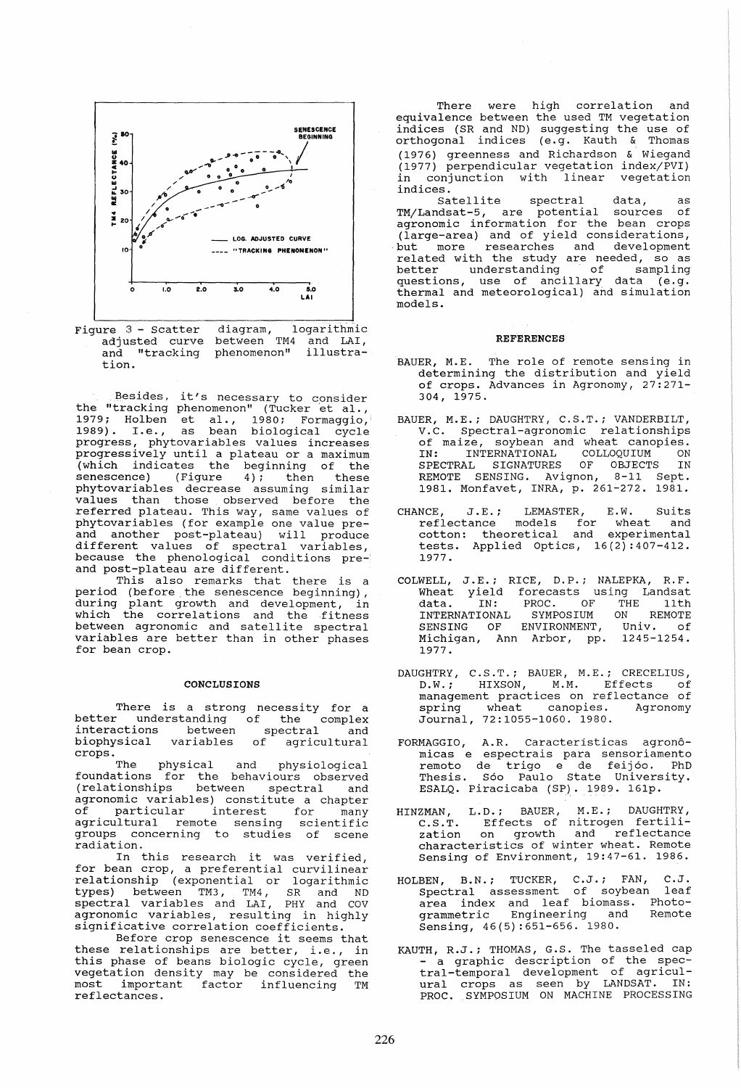

Figure 3 - scatter adjusted curve and "tracking phenomenon" illustration. diagram, logarithmic between TM4 and LAI,

Besides, it's necessary to consider<br>,the "tracking phenomenon" (Tucker et al. 1979; Holben et al., 1980; Formaggio, 1979, Holben et al., 1980, Formaggio,<br>1989). I.e., as bean biological cycle progress, phytovariables values increases progressively until a plateau or a maximum (which indicates the beginning of the senescence) (Figure 4); then these phytovariables decrease assuming similar values than those observed before the .referred plateau. This way, same values of phytovariables (for example one value preand another post-plateau) will produce different values of spectral variables, because the phenological conditions preand post-plateau are different.

This also remarks that there is a<br>period (before the senescence beginning), during plant growth and development, in which the correlations and the fitness between agronomic and satellite spectral variables are better than in other phases for bean crop.

### CONCLUSIONS

There is a strong necessity for a better understanding of the complex interactions between spectral and biophysical variables of agricultural crops.

The physical and physiological foundations for the behaviours observed (relationships between spectral and agronomic variables) constitute a chapter agressimate variances, consertance a enapter agricultural remote sensing scientific sprays concerning to studies of scene<br>groups concerning to studies of scene<br>radiation. radiation.<br>In this research it was verified,

for bean crop, a preferential curvilinear 'relationship (exponential or logarithmic types) between TM3, TM4, SR and ND spectral variables and LAI, PHY and COV agronomic variables, resulting in highly significative correlation coefficients.

Before crop senescence it seems that these relationships are better, i.e., in this phase of beans biologic cycle, green vegetation density may be considered the most important factor influencing TM reflectances.

There were high correlation and equivalence between the used TM vegetation indices (SR and ND) suggesting the use of orthogonal indices (e.g. Kauth & Thomas (1976) greenness and Richardson & Wiegand (1977) perpendicular vegetation index/PVI) conjunction with linear vegetation indices.

Satellite spectral data, as TM/Landsat-5, are potential sources of agronomic information for the bean crops (large-area) and of yield considerations, but more researches and development related with the study are needed, so as better understanding' of sampling better understanding of sampling<br>questions, use of ancillary data (e.g. thermal and meteorological) and simulation models.

## REFERENCES

- BAUER, M.E. The role of remote sensing in determining the distribution and yield of crops. Advances in Agronomy, 27:271- 304, 1975.
- BAUER, M.E.; DAUGHTRY, C.S.T.; VANDERBILT, V.C. Spectral-agronomic relationships of maize, soybean and wheat canopies. IN: INTERNATIONAL COLLOQUIUM ON SPECTRAL SIGNATURES OF OBJECTS IN REMOTE SENSING. Avignon, 8-11 Sept. REMOTE SENSING. Avignon, 8-11 Sept.<br>1981. Monfavet, INRA, p. 261-272. 1981.
- CHANCE, J.E.; LEMASTER, E.W. Suits reflectance models for wheat and cotton: theoretical and experimental tests. Applied optics, 16(2) :407-412. 1977.
- COLWELL, J.E.; RICE, D.P.; NALEPKA, R.F. Wheat yield forecasts using Landsat data. IN: PROC. OF THE 11th WINCA TYLE PROC. OF THE 11th<br>INTERNATIONAL SYMPOSIUM ON REMOTE<br>SENSING OF ENVIRONMENT, Univ. of SENSING OF Michigan, Ann Arbor, pp. 1245-1254. 1977.
- DAUGHTRY, C.S.T.; BAUER, M.E.; CRECELIUS,<br>D.W.; HIXSON, M.M. Effects of HIXSON, M.M. Effects of management practices on reflectance of<br>spring wheat canopies. Agronomy management practice in referenting the Journal, 72:1055-1060. 1980.
- FORMAGGIO, A.R. Caracteristicas agron6 micas e espectrais para sensoriamento remoto de trigo e de feijoo. PhD Thesis. Soo Paulo State University. ESALQ. Piracicaba (SP). 1989. 161p.
- HINZMAN, L.D.; BAUER, M.E.; DAUGHTRY,<br>C.S.T. Effects of nitrogen fertilization on growth and reflectance characteristics of winter wheat. Remote characteristics of winter wheat. Remote<br>Sensing of Environment, 19:47-61. 1986.
- HOLBEN, B.N.; TUCKER, C.J.: FAN, C.J. Spectral assessment of soybean leaf area index and leaf biomass. Photogrammetric Engineering and Remote Sensing, 46(5):651-656. 1980.
- KAUTH, R.J.; THOMAS, G.S. The tasseled cap - a graphic description of the spec-<br>tral-temporal development of agriculural crops as seen by LANDSAT. IN: PROC. SYMPOSIUM ON MACHINE PROCESSING